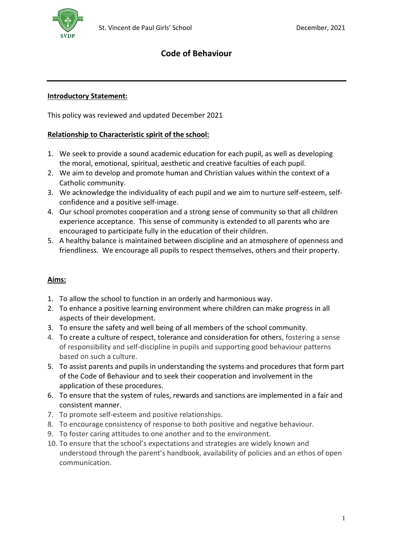# **Code of Behaviour**

### **Introductory Statement:**

This policy was reviewed and updated December 2021

#### **Relationship to Characteristic spirit of the school:**

- 1. We seek to provide a sound academic education for each pupil, as well as developing the moral, emotional, spiritual, aesthetic and creative faculties of each pupil.
- 2. We aim to develop and promote human and Christian values within the context of a Catholic community.
- 3. We acknowledge the individuality of each pupil and we aim to nurture self-esteem, selfconfidence and a positive self-image.
- 4. Our school promotes cooperation and a strong sense of community so that all children experience acceptance. This sense of community is extended to all parents who are encouraged to participate fully in the education of their children.
- 5. A healthy balance is maintained between discipline and an atmosphere of openness and friendliness. We encourage all pupils to respect themselves, others and their property.

### **Aims:**

- 1. To allow the school to function in an orderly and harmonious way.
- 2. To enhance a positive learning environment where children can make progress in all aspects of their development.
- 3. To ensure the safety and well being of all members of the school community.
- 4. To create a culture of respect, tolerance and consideration for others, fostering a sense of responsibility and self-discipline in pupils and supporting good behaviour patterns based on such a culture.
- 5. To assist parents and pupils in understanding the systems and procedures that form part of the Code of Behaviour and to seek their cooperation and involvement in the application of these procedures.
- 6. To ensure that the system of rules, rewards and sanctions are implemented in a fair and consistent manner.
- 7. To promote self-esteem and positive relationships.
- 8. To encourage consistency of response to both positive and negative behaviour.
- 9. To foster caring attitudes to one another and to the environment.
- 10. To ensure that the school's expectations and strategies are widely known and understood through the parent's handbook, availability of policies and an ethos of open communication.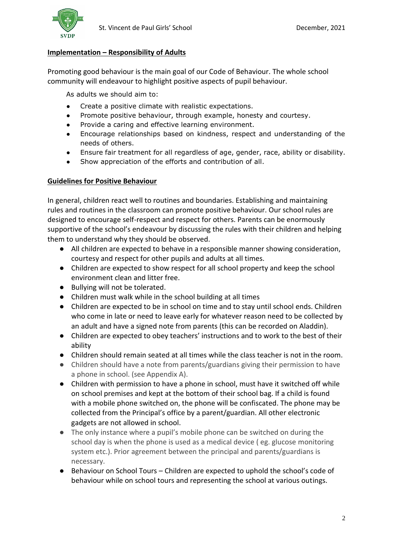

#### **Implementation – Responsibility of Adults**

Promoting good behaviour is the main goal of our Code of Behaviour. The whole school community will endeavour to highlight positive aspects of pupil behaviour.

As adults we should aim to:

- Create a positive climate with realistic expectations.
- Promote positive behaviour, through example, honesty and courtesy.
- Provide a caring and effective learning environment.
- Encourage relationships based on kindness, respect and understanding of the needs of others.
- Ensure fair treatment for all regardless of age, gender, race, ability or disability.
- Show appreciation of the efforts and contribution of all.

#### **Guidelines for Positive Behaviour**

In general, children react well to routines and boundaries. Establishing and maintaining rules and routines in the classroom can promote positive behaviour. Our school rules are designed to encourage self-respect and respect for others. Parents can be enormously supportive of the school's endeavour by discussing the rules with their children and helping them to understand why they should be observed.

- All children are expected to behave in a responsible manner showing consideration, courtesy and respect for other pupils and adults at all times.
- Children are expected to show respect for all school property and keep the school environment clean and litter free.
- Bullying will not be tolerated.
- Children must walk while in the school building at all times
- Children are expected to be in school on time and to stay until school ends. Children who come in late or need to leave early for whatever reason need to be collected by an adult and have a signed note from parents (this can be recorded on Aladdin).
- Children are expected to obey teachers' instructions and to work to the best of their ability
- Children should remain seated at all times while the class teacher is not in the room.
- Children should have a note from parents/guardians giving their permission to have a phone in school. (see Appendix A).
- Children with permission to have a phone in school, must have it switched off while on school premises and kept at the bottom of their school bag. If a child is found with a mobile phone switched on, the phone will be confiscated. The phone may be collected from the Principal's office by a parent/guardian. All other electronic gadgets are not allowed in school.
- The only instance where a pupil's mobile phone can be switched on during the school day is when the phone is used as a medical device ( eg. glucose monitoring system etc.). Prior agreement between the principal and parents/guardians is necessary.
- Behaviour on School Tours Children are expected to uphold the school's code of behaviour while on school tours and representing the school at various outings.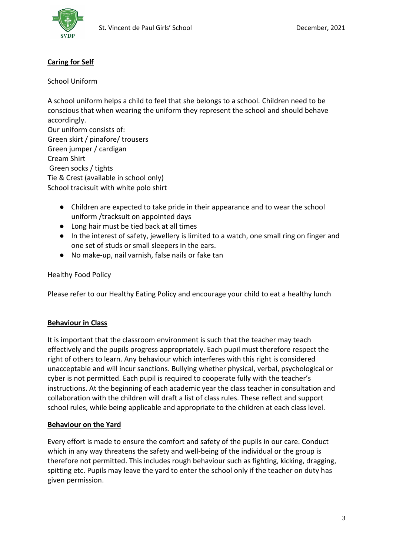

## **Caring for Self**

School Uniform

A school uniform helps a child to feel that she belongs to a school. Children need to be conscious that when wearing the uniform they represent the school and should behave accordingly. Our uniform consists of: Green skirt / pinafore/ trousers Green jumper / cardigan Cream Shirt Green socks / tights Tie & Crest (available in school only) School tracksuit with white polo shirt

- Children are expected to take pride in their appearance and to wear the school uniform /tracksuit on appointed days
- Long hair must be tied back at all times
- In the interest of safety, jewellery is limited to a watch, one small ring on finger and one set of studs or small sleepers in the ears.
- No make-up, nail varnish, false nails or fake tan

#### Healthy Food Policy

Please refer to our Healthy Eating Policy and encourage your child to eat a healthy lunch

#### **Behaviour in Class**

It is important that the classroom environment is such that the teacher may teach effectively and the pupils progress appropriately. Each pupil must therefore respect the right of others to learn. Any behaviour which interferes with this right is considered unacceptable and will incur sanctions. Bullying whether physical, verbal, psychological or cyber is not permitted. Each pupil is required to cooperate fully with the teacher's instructions. At the beginning of each academic year the class teacher in consultation and collaboration with the children will draft a list of class rules. These reflect and support school rules, while being applicable and appropriate to the children at each class level.

#### **Behaviour on the Yard**

Every effort is made to ensure the comfort and safety of the pupils in our care. Conduct which in any way threatens the safety and well-being of the individual or the group is therefore not permitted. This includes rough behaviour such as fighting, kicking, dragging, spitting etc. Pupils may leave the yard to enter the school only if the teacher on duty has given permission.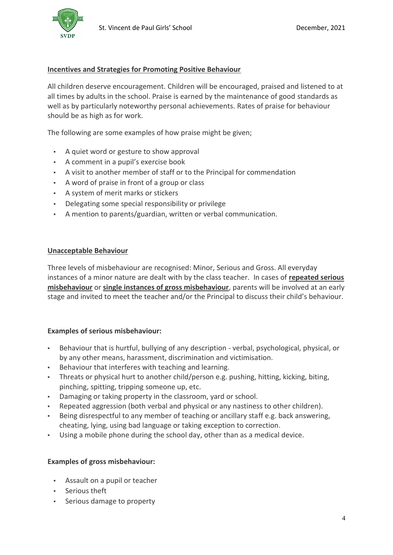

#### **Incentives and Strategies for Promoting Positive Behaviour**

All children deserve encouragement. Children will be encouraged, praised and listened to at all times by adults in the school. Praise is earned by the maintenance of good standards as well as by particularly noteworthy personal achievements. Rates of praise for behaviour should be as high as for work.

The following are some examples of how praise might be given;

- A quiet word or gesture to show approval
- A comment in a pupil's exercise book
- A visit to another member of staff or to the Principal for commendation
- A word of praise in front of a group or class
- A system of merit marks or stickers
- Delegating some special responsibility or privilege
- A mention to parents/guardian, written or verbal communication.

#### **Unacceptable Behaviour**

Three levels of misbehaviour are recognised: Minor, Serious and Gross. All everyday instances of a minor nature are dealt with by the class teacher. In cases of **repeated serious misbehaviour** or **single instances of gross misbehaviour**, parents will be involved at an early stage and invited to meet the teacher and/or the Principal to discuss their child's behaviour.

#### **Examples of serious misbehaviour:**

- Behaviour that is hurtful, bullying of any description verbal, psychological, physical, or by any other means, harassment, discrimination and victimisation.
- Behaviour that interferes with teaching and learning.
- Threats or physical hurt to another child/person e.g. pushing, hitting, kicking, biting, pinching, spitting, tripping someone up, etc.
- Damaging or taking property in the classroom, yard or school.
- Repeated aggression (both verbal and physical or any nastiness to other children).
- Being disrespectful to any member of teaching or ancillary staff e.g. back answering, cheating, lying, using bad language or taking exception to correction.
- Using a mobile phone during the school day, other than as a medical device.

#### **Examples of gross misbehaviour:**

- Assault on a pupil or teacher
- Serious theft
- Serious damage to property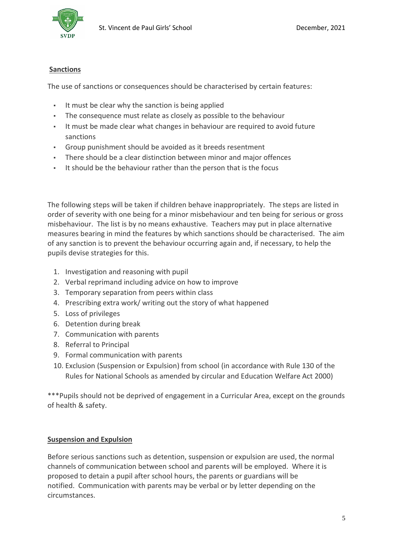

### **Sanctions**

The use of sanctions or consequences should be characterised by certain features:

- It must be clear why the sanction is being applied
- The consequence must relate as closely as possible to the behaviour
- It must be made clear what changes in behaviour are required to avoid future sanctions
- Group punishment should be avoided as it breeds resentment
- There should be a clear distinction between minor and major offences
- It should be the behaviour rather than the person that is the focus

The following steps will be taken if children behave inappropriately. The steps are listed in order of severity with one being for a minor misbehaviour and ten being for serious or gross misbehaviour. The list is by no means exhaustive. Teachers may put in place alternative measures bearing in mind the features by which sanctions should be characterised. The aim of any sanction is to prevent the behaviour occurring again and, if necessary, to help the pupils devise strategies for this.

- 1. Investigation and reasoning with pupil
- 2. Verbal reprimand including advice on how to improve
- 3. Temporary separation from peers within class
- 4. Prescribing extra work/ writing out the story of what happened
- 5. Loss of privileges
- 6. Detention during break
- 7. Communication with parents
- 8. Referral to Principal
- 9. Formal communication with parents
- 10. Exclusion (Suspension or Expulsion) from school (in accordance with Rule 130 of the Rules for National Schools as amended by circular and Education Welfare Act 2000)

\*\*\*Pupils should not be deprived of engagement in a Curricular Area, except on the grounds of health & safety.

### **Suspension and Expulsion**

Before serious sanctions such as detention, suspension or expulsion are used, the normal channels of communication between school and parents will be employed. Where it is proposed to detain a pupil after school hours, the parents or guardians will be notified. Communication with parents may be verbal or by letter depending on the circumstances.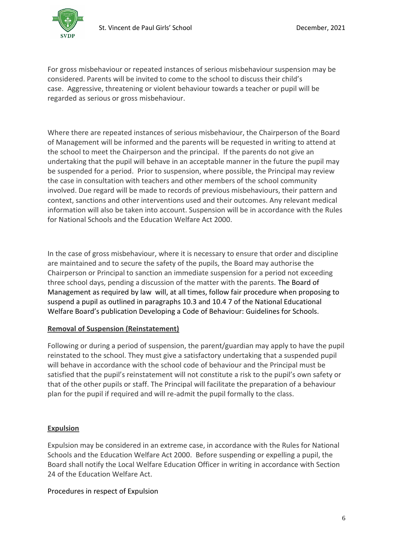

For gross misbehaviour or repeated instances of serious misbehaviour suspension may be considered. Parents will be invited to come to the school to discuss their child's case. Aggressive, threatening or violent behaviour towards a teacher or pupil will be regarded as serious or gross misbehaviour.

Where there are repeated instances of serious misbehaviour, the Chairperson of the Board of Management will be informed and the parents will be requested in writing to attend at the school to meet the Chairperson and the principal. If the parents do not give an undertaking that the pupil will behave in an acceptable manner in the future the pupil may be suspended for a period. Prior to suspension, where possible, the Principal may review the case in consultation with teachers and other members of the school community involved. Due regard will be made to records of previous misbehaviours, their pattern and context, sanctions and other interventions used and their outcomes. Any relevant medical information will also be taken into account. Suspension will be in accordance with the Rules for National Schools and the Education Welfare Act 2000.

In the case of gross misbehaviour, where it is necessary to ensure that order and discipline are maintained and to secure the safety of the pupils, the Board may authorise the Chairperson or Principal to sanction an immediate suspension for a period not exceeding three school days, pending a discussion of the matter with the parents. The Board of Management as required by law will, at all times, follow fair procedure when proposing to suspend a pupil as outlined in paragraphs 10.3 and 10.4 7 of the National Educational Welfare Board's publication Developing a Code of Behaviour: Guidelines for Schools.

### **Removal of Suspension (Reinstatement)**

Following or during a period of suspension, the parent/guardian may apply to have the pupil reinstated to the school. They must give a satisfactory undertaking that a suspended pupil will behave in accordance with the school code of behaviour and the Principal must be satisfied that the pupil's reinstatement will not constitute a risk to the pupil's own safety or that of the other pupils or staff. The Principal will facilitate the preparation of a behaviour plan for the pupil if required and will re-admit the pupil formally to the class.

### **Expulsion**

Expulsion may be considered in an extreme case, in accordance with the Rules for National Schools and the Education Welfare Act 2000. Before suspending or expelling a pupil, the Board shall notify the Local Welfare Education Officer in writing in accordance with Section 24 of the Education Welfare Act.

### Procedures in respect of Expulsion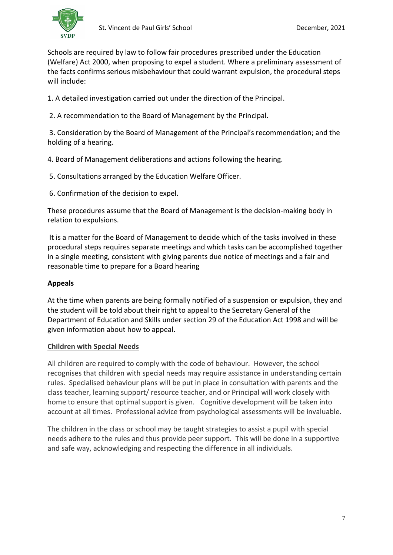

Schools are required by law to follow fair procedures prescribed under the Education (Welfare) Act 2000, when proposing to expel a student. Where a preliminary assessment of the facts confirms serious misbehaviour that could warrant expulsion, the procedural steps will include:

1. A detailed investigation carried out under the direction of the Principal.

2. A recommendation to the Board of Management by the Principal.

3. Consideration by the Board of Management of the Principal's recommendation; and the holding of a hearing.

4. Board of Management deliberations and actions following the hearing.

5. Consultations arranged by the Education Welfare Officer.

6. Confirmation of the decision to expel.

These procedures assume that the Board of Management is the decision-making body in relation to expulsions.

It is a matter for the Board of Management to decide which of the tasks involved in these procedural steps requires separate meetings and which tasks can be accomplished together in a single meeting, consistent with giving parents due notice of meetings and a fair and reasonable time to prepare for a Board hearing

## **Appeals**

At the time when parents are being formally notified of a suspension or expulsion, they and the student will be told about their right to appeal to the Secretary General of the Department of Education and Skills under section 29 of the Education Act 1998 and will be given information about how to appeal.

### **Children with Special Needs**

All children are required to comply with the code of behaviour. However, the school recognises that children with special needs may require assistance in understanding certain rules. Specialised behaviour plans will be put in place in consultation with parents and the class teacher, learning support/ resource teacher, and or Principal will work closely with home to ensure that optimal support is given. Cognitive development will be taken into account at all times. Professional advice from psychological assessments will be invaluable.

The children in the class or school may be taught strategies to assist a pupil with special needs adhere to the rules and thus provide peer support. This will be done in a supportive and safe way, acknowledging and respecting the difference in all individuals.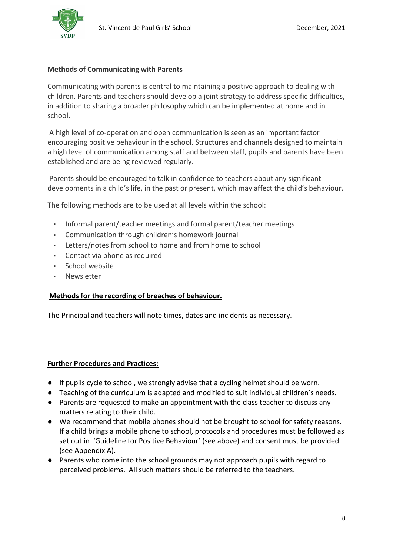

#### **Methods of Communicating with Parents**

Communicating with parents is central to maintaining a positive approach to dealing with children. Parents and teachers should develop a joint strategy to address specific difficulties, in addition to sharing a broader philosophy which can be implemented at home and in school.

A high level of co-operation and open communication is seen as an important factor encouraging positive behaviour in the school. Structures and channels designed to maintain a high level of communication among staff and between staff, pupils and parents have been established and are being reviewed regularly.

Parents should be encouraged to talk in confidence to teachers about any significant developments in a child's life, in the past or present, which may affect the child's behaviour.

The following methods are to be used at all levels within the school:

- Informal parent/teacher meetings and formal parent/teacher meetings
- Communication through children's homework journal
- Letters/notes from school to home and from home to school
- Contact via phone as required
- School website
- **Newsletter**

#### **Methods for the recording of breaches of behaviour.**

The Principal and teachers will note times, dates and incidents as necessary.

#### **Further Procedures and Practices:**

- If pupils cycle to school, we strongly advise that a cycling helmet should be worn.
- Teaching of the curriculum is adapted and modified to suit individual children's needs.
- Parents are requested to make an appointment with the class teacher to discuss any matters relating to their child.
- We recommend that mobile phones should not be brought to school for safety reasons. If a child brings a mobile phone to school, protocols and procedures must be followed as set out in 'Guideline for Positive Behaviour' (see above) and consent must be provided (see Appendix A).
- Parents who come into the school grounds may not approach pupils with regard to perceived problems. All such matters should be referred to the teachers.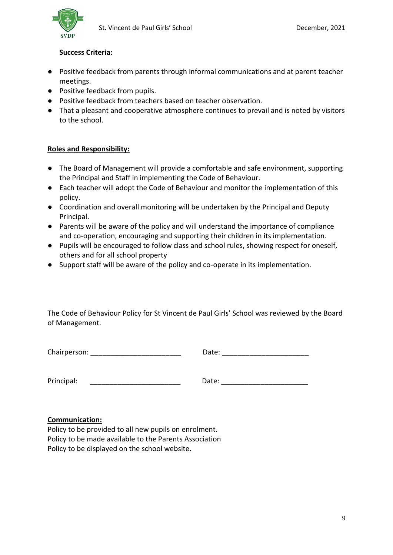

### **Success Criteria:**

- Positive feedback from parents through informal communications and at parent teacher meetings.
- Positive feedback from pupils.
- Positive feedback from teachers based on teacher observation.
- That a pleasant and cooperative atmosphere continues to prevail and is noted by visitors to the school.

#### **Roles and Responsibility:**

- The Board of Management will provide a comfortable and safe environment, supporting the Principal and Staff in implementing the Code of Behaviour.
- Each teacher will adopt the Code of Behaviour and monitor the implementation of this policy.
- Coordination and overall monitoring will be undertaken by the Principal and Deputy Principal.
- Parents will be aware of the policy and will understand the importance of compliance and co-operation, encouraging and supporting their children in its implementation.
- Pupils will be encouraged to follow class and school rules, showing respect for oneself, others and for all school property
- Support staff will be aware of the policy and co-operate in its implementation.

The Code of Behaviour Policy for St Vincent de Paul Girls' School was reviewed by the Board of Management.

Chairperson: \_\_\_\_\_\_\_\_\_\_\_\_\_\_\_\_\_\_\_\_\_\_\_\_\_ Date: \_\_\_\_\_\_\_\_\_\_\_\_\_\_\_\_\_\_\_\_\_\_\_\_\_\_\_\_\_\_\_\_\_\_\_

Principal:  $\Box$ 

#### **Communication:**

Policy to be provided to all new pupils on enrolment. Policy to be made available to the Parents Association Policy to be displayed on the school website.